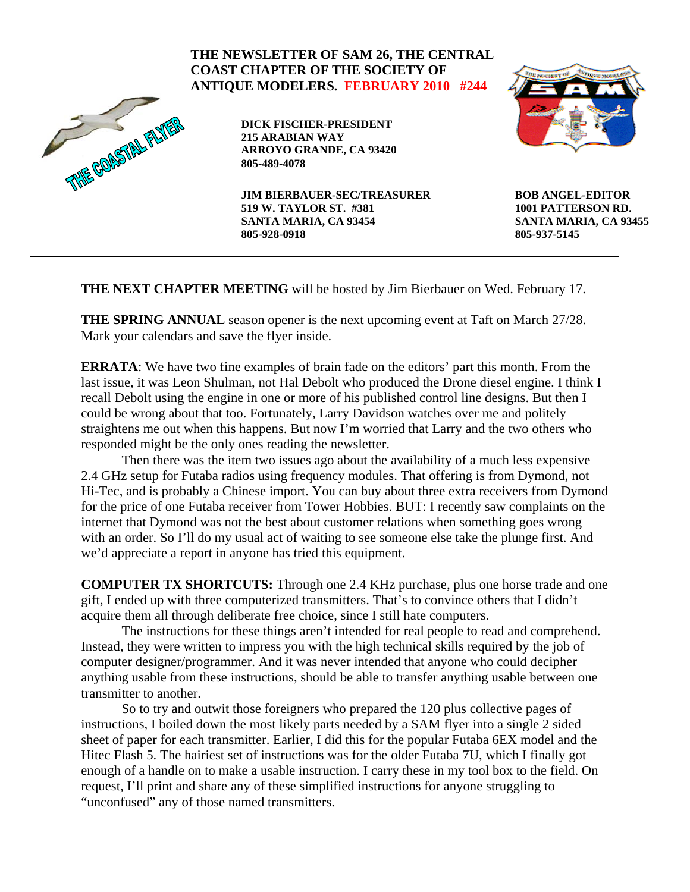#### **THE NEWSLETTER OF SAM 26, THE CENTRAL COAST CHAPTER OF THE SOCIETY OF ANTIQUE MODELERS. FEBRUARY 2010 #244**  THE COASTAL FLYE **DICK FISCHER-PRESIDENT 215 ARABIAN WAY ARROYO GRANDE, CA 93420 805-489-4078 JIM BIERBAUER-SEC/TREASURER BOB ANGEL-EDITOR 519 W. TAYLOR ST. #381 1001 PATTERSON RD. SANTA MARIA, CA 93454 SANTA MARIA, CA 93455 805-928-0918 805-937-5145**

**THE NEXT CHAPTER MEETING** will be hosted by Jim Bierbauer on Wed. February 17.

**THE SPRING ANNUAL** season opener is the next upcoming event at Taft on March 27/28. Mark your calendars and save the flyer inside.

**ERRATA**: We have two fine examples of brain fade on the editors' part this month. From the last issue, it was Leon Shulman, not Hal Debolt who produced the Drone diesel engine. I think I recall Debolt using the engine in one or more of his published control line designs. But then I could be wrong about that too. Fortunately, Larry Davidson watches over me and politely straightens me out when this happens. But now I'm worried that Larry and the two others who responded might be the only ones reading the newsletter.

 Then there was the item two issues ago about the availability of a much less expensive 2.4 GHz setup for Futaba radios using frequency modules. That offering is from Dymond, not Hi-Tec, and is probably a Chinese import. You can buy about three extra receivers from Dymond for the price of one Futaba receiver from Tower Hobbies. BUT: I recently saw complaints on the internet that Dymond was not the best about customer relations when something goes wrong with an order. So I'll do my usual act of waiting to see someone else take the plunge first. And we'd appreciate a report in anyone has tried this equipment.

**COMPUTER TX SHORTCUTS:** Through one 2.4 KHz purchase, plus one horse trade and one gift, I ended up with three computerized transmitters. That's to convince others that I didn't acquire them all through deliberate free choice, since I still hate computers.

 The instructions for these things aren't intended for real people to read and comprehend. Instead, they were written to impress you with the high technical skills required by the job of computer designer/programmer. And it was never intended that anyone who could decipher anything usable from these instructions, should be able to transfer anything usable between one transmitter to another.

 So to try and outwit those foreigners who prepared the 120 plus collective pages of instructions, I boiled down the most likely parts needed by a SAM flyer into a single 2 sided sheet of paper for each transmitter. Earlier, I did this for the popular Futaba 6EX model and the Hitec Flash 5. The hairiest set of instructions was for the older Futaba 7U, which I finally got enough of a handle on to make a usable instruction. I carry these in my tool box to the field. On request, I'll print and share any of these simplified instructions for anyone struggling to "unconfused" any of those named transmitters.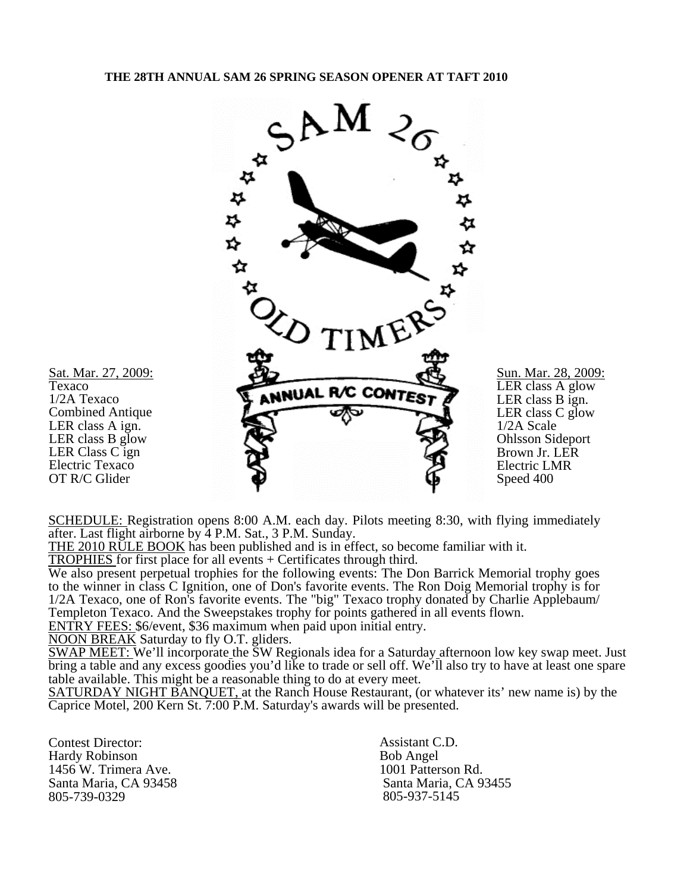

SCHEDULE: Registration opens 8:00 A.M. each day. Pilots meeting 8:30, with flying immediately after. Last flight airborne by 4 P.M. Sat., 3 P.M. Sunday.

THE 2010 RULE BOOK has been published and is in effect, so become familiar with it.

TROPHIES for first place for all events + Certificates through third.

We also present perpetual trophies for the following events: The Don Barrick Memorial trophy goes to the winner in class C Ignition, one of Don's favorite events. The Ron Doig Memorial trophy is for 1/2A Texaco, one of Ron's favorite events. The "big" Texaco trophy donated by Charlie Applebaum/ Templeton Texaco. And the Sweepstakes trophy for points gathered in all events flown.

ENTRY FEES: \$6/event, \$36 maximum when paid upon initial entry.

NOON BREAK Saturday to fly O.T. gliders.

SWAP MEET: We'll incorporate the SW Regionals idea for a Saturday afternoon low key swap meet. Just bring a table and any excess goodies you'd like to trade or sell off. We'll also try to have at least one spare table available. This might be a reasonable thing to do at every meet.

SATURDAY NIGHT BANQUET, at the Ranch House Restaurant, (or whatever its' new name is) by the Caprice Motel, 200 Kern St. 7:00 P.M. Saturday's awards will be presented.

Contest Director: Hardy Robinson 1456 W. Trimera Ave. Santa Maria, CA 93458 805-739-0329

Assistant C.D. Bob Angel 1001 Patterson Rd. Santa Maria, CA 93455 805-937-5145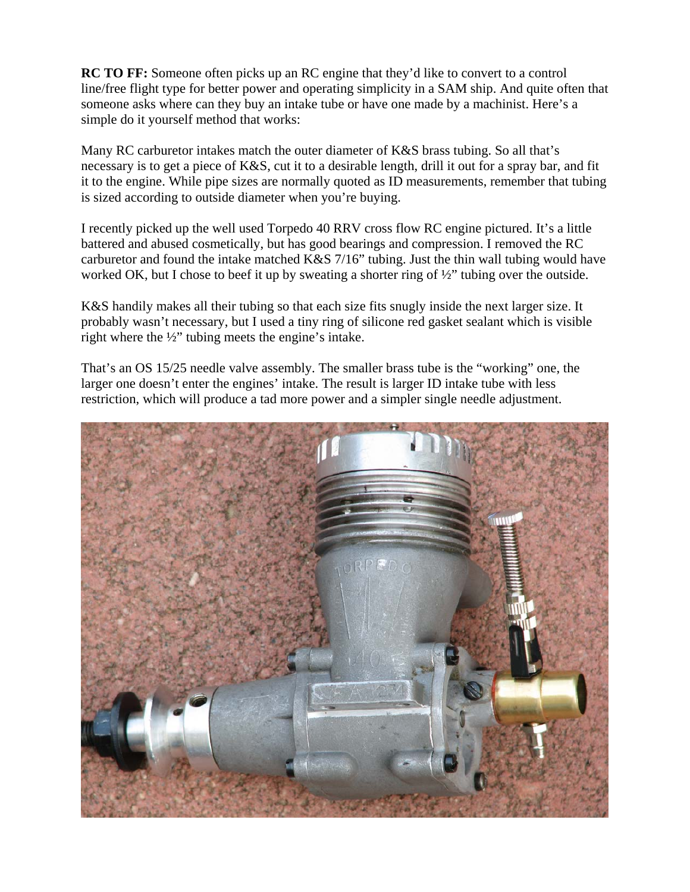**RC TO FF:** Someone often picks up an RC engine that they'd like to convert to a control line/free flight type for better power and operating simplicity in a SAM ship. And quite often that someone asks where can they buy an intake tube or have one made by a machinist. Here's a simple do it yourself method that works:

Many RC carburetor intakes match the outer diameter of K&S brass tubing. So all that's necessary is to get a piece of K&S, cut it to a desirable length, drill it out for a spray bar, and fit it to the engine. While pipe sizes are normally quoted as ID measurements, remember that tubing is sized according to outside diameter when you're buying.

I recently picked up the well used Torpedo 40 RRV cross flow RC engine pictured. It's a little battered and abused cosmetically, but has good bearings and compression. I removed the RC carburetor and found the intake matched K&S 7/16" tubing. Just the thin wall tubing would have worked OK, but I chose to beef it up by sweating a shorter ring of ½" tubing over the outside.

K&S handily makes all their tubing so that each size fits snugly inside the next larger size. It probably wasn't necessary, but I used a tiny ring of silicone red gasket sealant which is visible right where the ½" tubing meets the engine's intake.

That's an OS 15/25 needle valve assembly. The smaller brass tube is the "working" one, the larger one doesn't enter the engines' intake. The result is larger ID intake tube with less restriction, which will produce a tad more power and a simpler single needle adjustment.

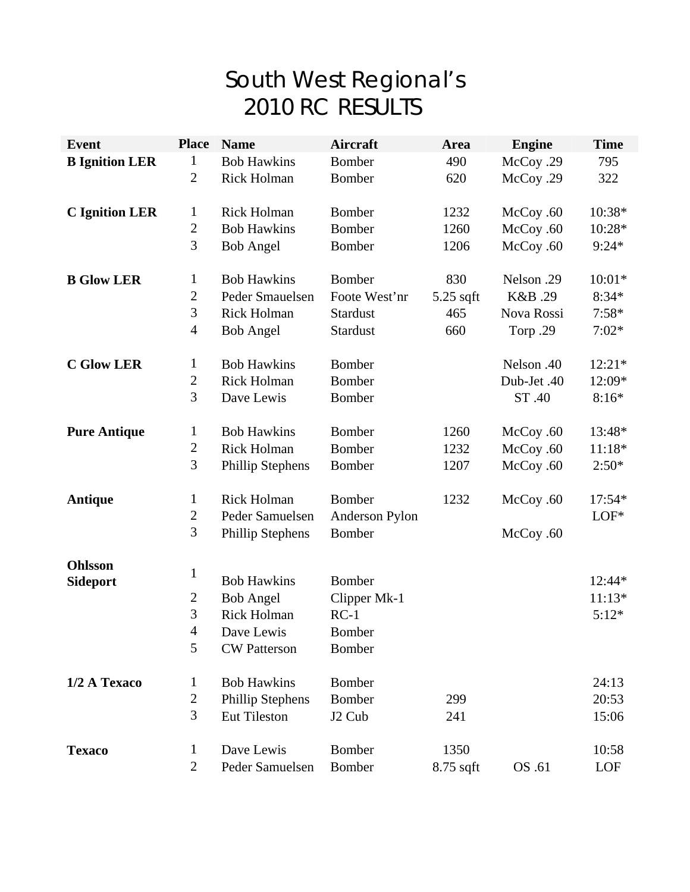# South West Regional's 2010 RC RESULTS

| <b>Event</b>          | <b>Place</b>                 | <b>Name</b>             | Aircraft           | Area        | <b>Engine</b> | <b>Time</b>      |
|-----------------------|------------------------------|-------------------------|--------------------|-------------|---------------|------------------|
| <b>B</b> Ignition LER | 1                            | <b>Bob Hawkins</b>      | <b>Bomber</b>      | 490         | McCoy .29     | 795              |
|                       | $\overline{2}$               | Rick Holman             | Bomber             | 620         | McCoy .29     | 322              |
| <b>C</b> Ignition LER |                              | Rick Holman             | <b>Bomber</b>      | 1232        |               |                  |
|                       | $\mathbf{1}$<br>$\mathbf{2}$ | <b>Bob Hawkins</b>      | <b>Bomber</b>      | 1260        | McCoy .60     | 10:38*<br>10:28* |
|                       | 3                            |                         |                    |             | McCoy .60     |                  |
|                       |                              | <b>Bob Angel</b>        | <b>Bomber</b>      | 1206        | McCoy .60     | $9:24*$          |
| <b>B Glow LER</b>     | $\mathbf{1}$                 | <b>Bob Hawkins</b>      | Bomber             | 830         | Nelson .29    | $10:01*$         |
|                       | $\mathbf{2}$                 | Peder Smauelsen         | Foote West'nr      | 5.25 sqft   | K&B.29        | $8:34*$          |
|                       | 3                            | Rick Holman             | <b>Stardust</b>    | 465         | Nova Rossi    | $7:58*$          |
|                       | $\overline{4}$               | <b>Bob Angel</b>        | Stardust           | 660         | Torp.29       | $7:02*$          |
| <b>C Glow LER</b>     | $\mathbf{1}$                 | <b>Bob Hawkins</b>      | Bomber             |             | Nelson .40    | $12:21*$         |
|                       | $\overline{2}$               | <b>Rick Holman</b>      | <b>Bomber</b>      |             | Dub-Jet .40   | 12:09*           |
|                       | 3                            | Dave Lewis              | <b>Bomber</b>      |             | ST .40        | $8:16*$          |
| <b>Pure Antique</b>   | $\mathbf{1}$                 | <b>Bob Hawkins</b>      | Bomber             | 1260        | McCoy .60     | 13:48*           |
|                       | $\mathfrak{2}$               | <b>Rick Holman</b>      | <b>Bomber</b>      | 1232        | McCoy .60     | $11:18*$         |
|                       | 3                            | <b>Phillip Stephens</b> | <b>Bomber</b>      | 1207        | McCoy .60     | $2:50*$          |
| Antique               | $\mathbf{1}$                 | <b>Rick Holman</b>      | Bomber             | 1232        | McCoy .60     | 17:54*           |
|                       | $\overline{2}$               | Peder Samuelsen         | Anderson Pylon     |             |               | $LOF*$           |
|                       | 3                            | <b>Phillip Stephens</b> | Bomber             |             | McCoy .60     |                  |
| Ohlsson               |                              |                         |                    |             |               |                  |
| <b>Sideport</b>       | $\mathbf 1$                  | <b>Bob Hawkins</b>      | <b>Bomber</b>      |             |               | 12:44*           |
|                       | $\overline{c}$               | <b>Bob Angel</b>        | Clipper Mk-1       |             |               | $11:13*$         |
|                       | 3                            | <b>Rick Holman</b>      | $RC-1$             |             |               | $5:12*$          |
|                       | $\overline{4}$               | Dave Lewis              | Bomber             |             |               |                  |
|                       | 5                            | <b>CW Patterson</b>     | <b>Bomber</b>      |             |               |                  |
| 1/2 A Texaco          | $\mathbf{1}$                 | <b>Bob Hawkins</b>      | Bomber             |             |               | 24:13            |
|                       | $\mathbf{2}$                 | Phillip Stephens        | <b>Bomber</b>      | 299         |               | 20:53            |
|                       | 3                            | Eut Tileston            | J <sub>2</sub> Cub | 241         |               | 15:06            |
| <b>Texaco</b>         | $\mathbf{1}$                 | Dave Lewis              | Bomber             | 1350        |               | 10:58            |
|                       | $\overline{2}$               | Peder Samuelsen         | <b>Bomber</b>      | $8.75$ sqft | OS .61        | LOF              |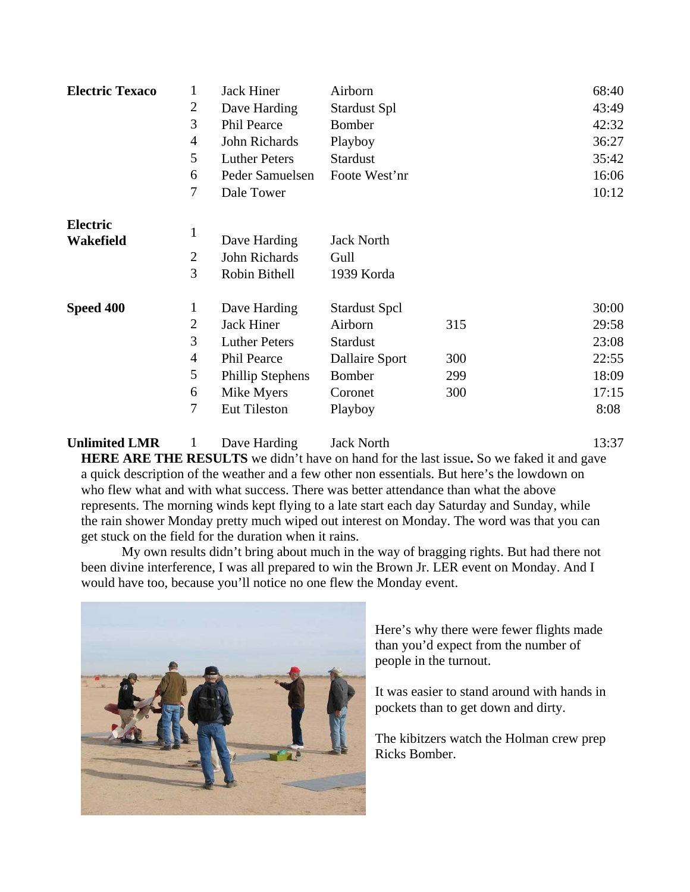| <b>Electric Texaco</b> | 1              | <b>Jack Hiner</b>       | Airborn               |     | 68:40 |
|------------------------|----------------|-------------------------|-----------------------|-----|-------|
|                        | $\overline{2}$ | Dave Harding            | <b>Stardust Spl</b>   |     | 43:49 |
|                        | 3              | Phil Pearce             | Bomber                |     | 42:32 |
|                        | $\overline{4}$ | John Richards           | Playboy               |     | 36:27 |
|                        | 5              | <b>Luther Peters</b>    | <b>Stardust</b>       |     | 35:42 |
|                        | 6              | Peder Samuelsen         | Foote West'nr         |     | 16:06 |
|                        | 7              | Dale Tower              |                       |     | 10:12 |
| <b>Electric</b>        |                |                         |                       |     |       |
| Wakefield              | 1              | Dave Harding            | <b>Jack North</b>     |     |       |
|                        | $\overline{2}$ | John Richards           | Gull                  |     |       |
|                        | 3              | Robin Bithell           | 1939 Korda            |     |       |
| Speed 400              | 1              | Dave Harding            | <b>Stardust Spcl</b>  |     | 30:00 |
|                        | $\overline{2}$ | <b>Jack Hiner</b>       | Airborn               | 315 | 29:58 |
|                        | 3              | <b>Luther Peters</b>    | <b>Stardust</b>       |     | 23:08 |
|                        | 4              | <b>Phil Pearce</b>      | <b>Dallaire Sport</b> | 300 | 22:55 |
|                        | 5              | <b>Phillip Stephens</b> | Bomber                | 299 | 18:09 |
|                        | 6              | Mike Myers              | Coronet               | 300 | 17:15 |
|                        | $\tau$         | <b>Eut Tileston</b>     | Playboy               |     | 8:08  |

## **Unlimited LMR** 1 Dave Harding Jack North 13:37

**HERE ARE THE RESULTS** we didn't have on hand for the last issue**.** So we faked it and gave a quick description of the weather and a few other non essentials. But here's the lowdown on who flew what and with what success. There was better attendance than what the above represents. The morning winds kept flying to a late start each day Saturday and Sunday, while the rain shower Monday pretty much wiped out interest on Monday. The word was that you can get stuck on the field for the duration when it rains.

My own results didn't bring about much in the way of bragging rights. But had there not been divine interference, I was all prepared to win the Brown Jr. LER event on Monday. And I would have too, because you'll notice no one flew the Monday event.



Here's why there were fewer flights made than you'd expect from the number of people in the turnout.

It was easier to stand around with hands in pockets than to get down and dirty.

The kibitzers watch the Holman crew prep Ricks Bomber.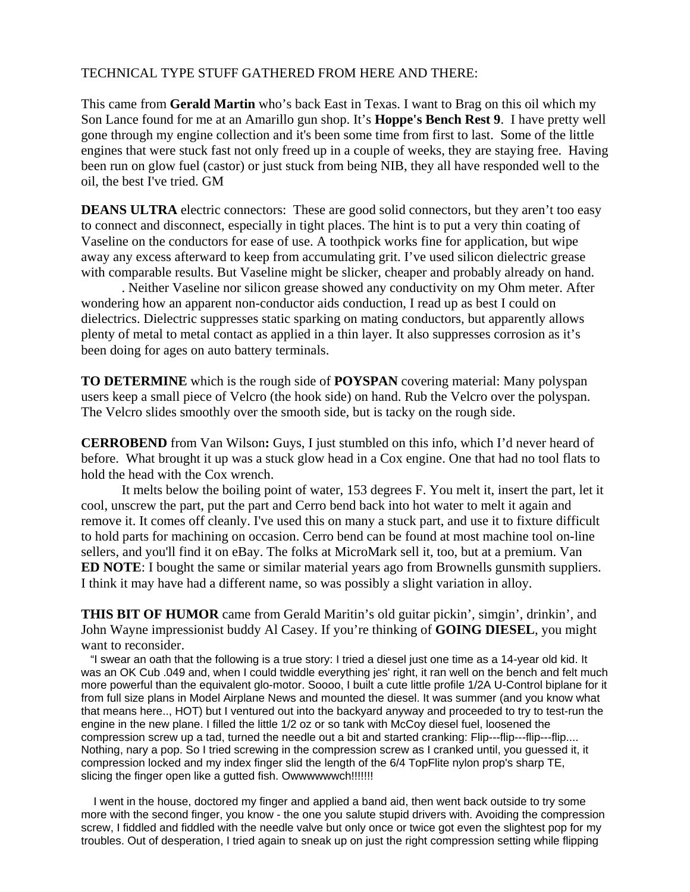### TECHNICAL TYPE STUFF GATHERED FROM HERE AND THERE:

This came from **Gerald Martin** who's back East in Texas. I want to Brag on this oil which my Son Lance found for me at an Amarillo gun shop. It's **Hoppe's Bench Rest 9**. I have pretty well gone through my engine collection and it's been some time from first to last. Some of the little engines that were stuck fast not only freed up in a couple of weeks, they are staying free. Having been run on glow fuel (castor) or just stuck from being NIB, they all have responded well to the oil, the best I've tried. GM

**DEANS ULTRA** electric connectors: These are good solid connectors, but they aren't too easy to connect and disconnect, especially in tight places. The hint is to put a very thin coating of Vaseline on the conductors for ease of use. A toothpick works fine for application, but wipe away any excess afterward to keep from accumulating grit. I've used silicon dielectric grease with comparable results. But Vaseline might be slicker, cheaper and probably already on hand.

. Neither Vaseline nor silicon grease showed any conductivity on my Ohm meter. After wondering how an apparent non-conductor aids conduction, I read up as best I could on dielectrics. Dielectric suppresses static sparking on mating conductors, but apparently allows plenty of metal to metal contact as applied in a thin layer. It also suppresses corrosion as it's been doing for ages on auto battery terminals.

**TO DETERMINE** which is the rough side of **POYSPAN** covering material: Many polyspan users keep a small piece of Velcro (the hook side) on hand. Rub the Velcro over the polyspan. The Velcro slides smoothly over the smooth side, but is tacky on the rough side.

**CERROBEND** from Van Wilson**:** Guys, I just stumbled on this info, which I'd never heard of before. What brought it up was a stuck glow head in a Cox engine. One that had no tool flats to hold the head with the Cox wrench.

It melts below the boiling point of water, 153 degrees F. You melt it, insert the part, let it cool, unscrew the part, put the part and Cerro bend back into hot water to melt it again and remove it. It comes off cleanly. I've used this on many a stuck part, and use it to fixture difficult to hold parts for machining on occasion. Cerro bend can be found at most machine tool on-line sellers, and you'll find it on eBay. The folks at MicroMark sell it, too, but at a premium. Van **ED NOTE**: I bought the same or similar material years ago from Brownells gunsmith suppliers. I think it may have had a different name, so was possibly a slight variation in alloy.

**THIS BIT OF HUMOR** came from Gerald Maritin's old guitar pickin', simgin', drinkin', and John Wayne impressionist buddy Al Casey. If you're thinking of **GOING DIESEL**, you might want to reconsider.

 "I swear an oath that the following is a true story: I tried a diesel just one time as a 14-year old kid. It was an OK Cub .049 and, when I could twiddle everything jes' right, it ran well on the bench and felt much more powerful than the equivalent glo-motor. Soooo, I built a cute little profile 1/2A U-Control biplane for it from full size plans in Model Airplane News and mounted the diesel. It was summer (and you know what that means here.., HOT) but I ventured out into the backyard anyway and proceeded to try to test-run the engine in the new plane. I filled the little 1/2 oz or so tank with McCoy diesel fuel, loosened the compression screw up a tad, turned the needle out a bit and started cranking: Flip---flip---flip---flip.... Nothing, nary a pop. So I tried screwing in the compression screw as I cranked until, you guessed it, it compression locked and my index finger slid the length of the 6/4 TopFlite nylon prop's sharp TE, slicing the finger open like a gutted fish. Owwwwwwch!!!!!!!!

 I went in the house, doctored my finger and applied a band aid, then went back outside to try some more with the second finger, you know - the one you salute stupid drivers with. Avoiding the compression screw, I fiddled and fiddled with the needle valve but only once or twice got even the slightest pop for my troubles. Out of desperation, I tried again to sneak up on just the right compression setting while flipping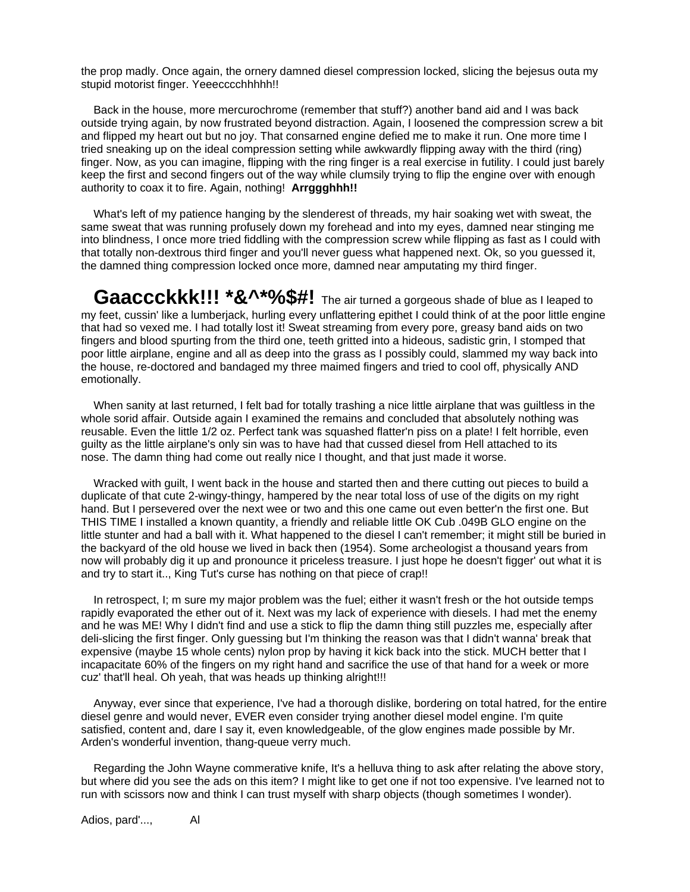the prop madly. Once again, the ornery damned diesel compression locked, slicing the bejesus outa my stupid motorist finger. Yeeecccchhhhh!!

 Back in the house, more mercurochrome (remember that stuff?) another band aid and I was back outside trying again, by now frustrated beyond distraction. Again, I loosened the compression screw a bit and flipped my heart out but no joy. That consarned engine defied me to make it run. One more time I tried sneaking up on the ideal compression setting while awkwardly flipping away with the third (ring) finger. Now, as you can imagine, flipping with the ring finger is a real exercise in futility. I could just barely keep the first and second fingers out of the way while clumsily trying to flip the engine over with enough authority to coax it to fire. Again, nothing! **Arrggghhh!!**

 What's left of my patience hanging by the slenderest of threads, my hair soaking wet with sweat, the same sweat that was running profusely down my forehead and into my eyes, damned near stinging me into blindness, I once more tried fiddling with the compression screw while flipping as fast as I could with that totally non-dextrous third finger and you'll never guess what happened next. Ok, so you guessed it, the damned thing compression locked once more, damned near amputating my third finger.

**Gaaccckkk!!! \*&^\*%\$#!** The air turned a gorgeous shade of blue as I leaped to my feet, cussin' like a lumberjack, hurling every unflattering epithet I could think of at the poor little engine that had so vexed me. I had totally lost it! Sweat streaming from every pore, greasy band aids on two fingers and blood spurting from the third one, teeth gritted into a hideous, sadistic grin, I stomped that poor little airplane, engine and all as deep into the grass as I possibly could, slammed my way back into the house, re-doctored and bandaged my three maimed fingers and tried to cool off, physically AND emotionally.

 When sanity at last returned, I felt bad for totally trashing a nice little airplane that was guiltless in the whole sorid affair. Outside again I examined the remains and concluded that absolutely nothing was reusable. Even the little 1/2 oz. Perfect tank was squashed flatter'n piss on a plate! I felt horrible, even guilty as the little airplane's only sin was to have had that cussed diesel from Hell attached to its nose. The damn thing had come out really nice I thought, and that just made it worse.

 Wracked with guilt, I went back in the house and started then and there cutting out pieces to build a duplicate of that cute 2-wingy-thingy, hampered by the near total loss of use of the digits on my right hand. But I persevered over the next wee or two and this one came out even better'n the first one. But THIS TIME I installed a known quantity, a friendly and reliable little OK Cub .049B GLO engine on the little stunter and had a ball with it. What happened to the diesel I can't remember; it might still be buried in the backyard of the old house we lived in back then (1954). Some archeologist a thousand years from now will probably dig it up and pronounce it priceless treasure. I just hope he doesn't figger' out what it is and try to start it.., King Tut's curse has nothing on that piece of crap!!

 In retrospect, I; m sure my major problem was the fuel; either it wasn't fresh or the hot outside temps rapidly evaporated the ether out of it. Next was my lack of experience with diesels. I had met the enemy and he was ME! Why I didn't find and use a stick to flip the damn thing still puzzles me, especially after deli-slicing the first finger. Only guessing but I'm thinking the reason was that I didn't wanna' break that expensive (maybe 15 whole cents) nylon prop by having it kick back into the stick. MUCH better that I incapacitate 60% of the fingers on my right hand and sacrifice the use of that hand for a week or more cuz' that'll heal. Oh yeah, that was heads up thinking alright!!!

 Anyway, ever since that experience, I've had a thorough dislike, bordering on total hatred, for the entire diesel genre and would never, EVER even consider trying another diesel model engine. I'm quite satisfied, content and, dare I say it, even knowledgeable, of the glow engines made possible by Mr. Arden's wonderful invention, thang-queue verry much.

 Regarding the John Wayne commerative knife, It's a helluva thing to ask after relating the above story, but where did you see the ads on this item? I might like to get one if not too expensive. I've learned not to run with scissors now and think I can trust myself with sharp objects (though sometimes I wonder).

Adios, pard'..., Al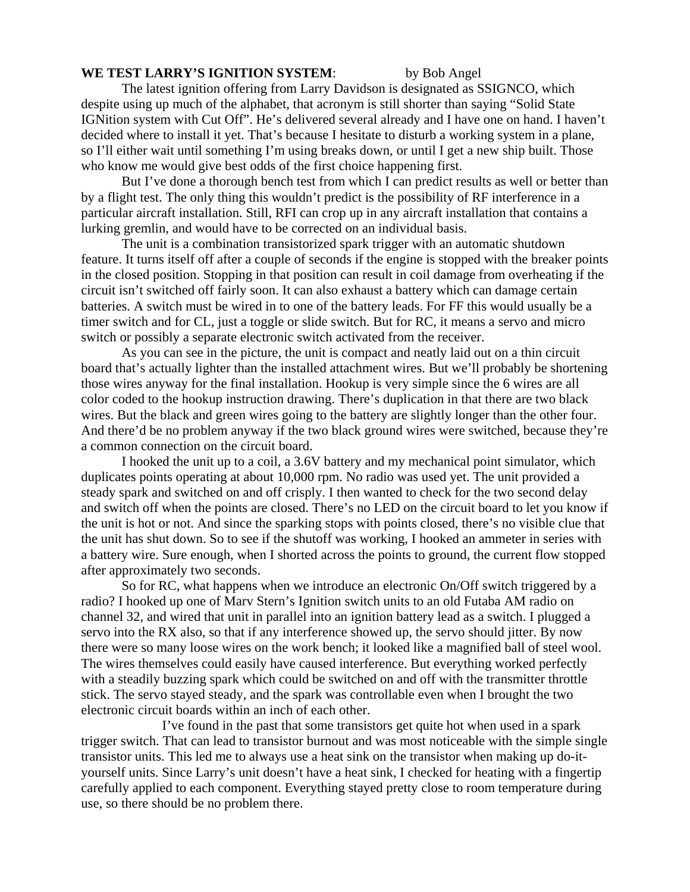#### **WE TEST LARRY'S IGNITION SYSTEM**: by Bob Angel

The latest ignition offering from Larry Davidson is designated as SSIGNCO, which despite using up much of the alphabet, that acronym is still shorter than saying "Solid State IGNition system with Cut Off". He's delivered several already and I have one on hand. I haven't decided where to install it yet. That's because I hesitate to disturb a working system in a plane, so I'll either wait until something I'm using breaks down, or until I get a new ship built. Those who know me would give best odds of the first choice happening first.

 But I've done a thorough bench test from which I can predict results as well or better than by a flight test. The only thing this wouldn't predict is the possibility of RF interference in a particular aircraft installation. Still, RFI can crop up in any aircraft installation that contains a lurking gremlin, and would have to be corrected on an individual basis.

The unit is a combination transistorized spark trigger with an automatic shutdown feature. It turns itself off after a couple of seconds if the engine is stopped with the breaker points in the closed position. Stopping in that position can result in coil damage from overheating if the circuit isn't switched off fairly soon. It can also exhaust a battery which can damage certain batteries. A switch must be wired in to one of the battery leads. For FF this would usually be a timer switch and for CL, just a toggle or slide switch. But for RC, it means a servo and micro switch or possibly a separate electronic switch activated from the receiver.

 As you can see in the picture, the unit is compact and neatly laid out on a thin circuit board that's actually lighter than the installed attachment wires. But we'll probably be shortening those wires anyway for the final installation. Hookup is very simple since the 6 wires are all color coded to the hookup instruction drawing. There's duplication in that there are two black wires. But the black and green wires going to the battery are slightly longer than the other four. And there'd be no problem anyway if the two black ground wires were switched, because they're a common connection on the circuit board.

 I hooked the unit up to a coil, a 3.6V battery and my mechanical point simulator, which duplicates points operating at about 10,000 rpm. No radio was used yet. The unit provided a steady spark and switched on and off crisply. I then wanted to check for the two second delay and switch off when the points are closed. There's no LED on the circuit board to let you know if the unit is hot or not. And since the sparking stops with points closed, there's no visible clue that the unit has shut down. So to see if the shutoff was working, I hooked an ammeter in series with a battery wire. Sure enough, when I shorted across the points to ground, the current flow stopped after approximately two seconds.

 So for RC, what happens when we introduce an electronic On/Off switch triggered by a radio? I hooked up one of Marv Stern's Ignition switch units to an old Futaba AM radio on channel 32, and wired that unit in parallel into an ignition battery lead as a switch. I plugged a servo into the RX also, so that if any interference showed up, the servo should jitter. By now there were so many loose wires on the work bench; it looked like a magnified ball of steel wool. The wires themselves could easily have caused interference. But everything worked perfectly with a steadily buzzing spark which could be switched on and off with the transmitter throttle stick. The servo stayed steady, and the spark was controllable even when I brought the two electronic circuit boards within an inch of each other.

 I've found in the past that some transistors get quite hot when used in a spark trigger switch. That can lead to transistor burnout and was most noticeable with the simple single transistor units. This led me to always use a heat sink on the transistor when making up do-ityourself units. Since Larry's unit doesn't have a heat sink, I checked for heating with a fingertip carefully applied to each component. Everything stayed pretty close to room temperature during use, so there should be no problem there.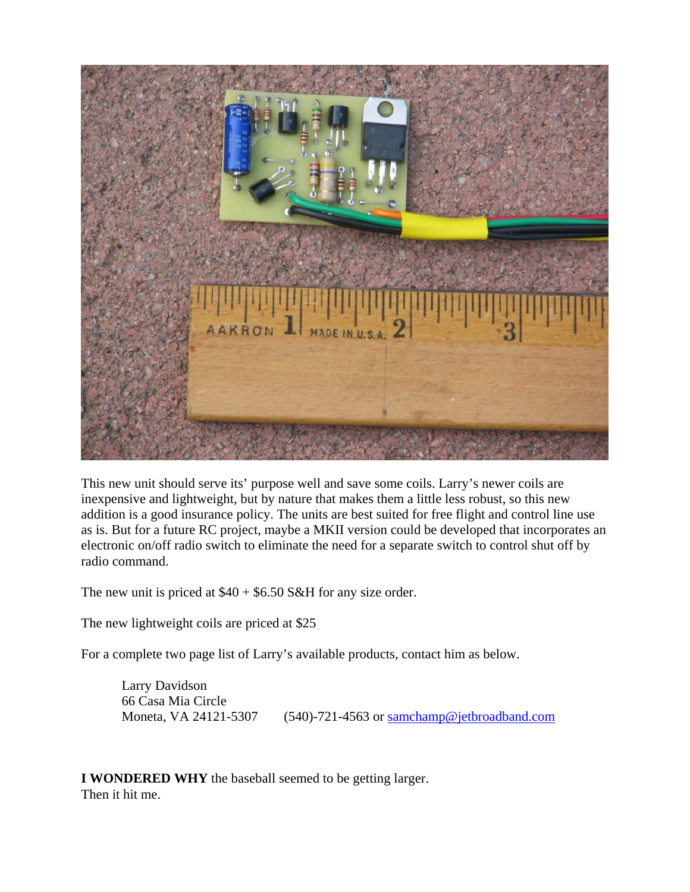

This new unit should serve its' purpose well and save some coils. Larry's newer coils are inexpensive and lightweight, but by nature that makes them a little less robust, so this new addition is a good insurance policy. The units are best suited for free flight and control line use as is. But for a future RC project, maybe a MKII version could be developed that incorporates an electronic on/off radio switch to eliminate the need for a separate switch to control shut off by radio command.

The new unit is priced at  $$40 + $6.50$  S&H for any size order.

The new lightweight coils are priced at \$25

For a complete two page list of Larry's available products, contact him as below.

Larry Davidson 66 Casa Mia Circle

Moneta, VA 24121-5307 (540)-721-4563 or [samchamp@jetbroadband.com](mailto:samchamp@jetbroadband.com)

**I WONDERED WHY** the baseball seemed to be getting larger. Then it hit me.